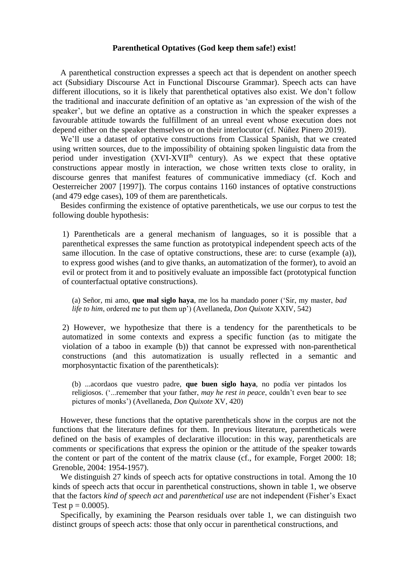## **Parenthetical Optatives (God keep them safe!) exist!**

A parenthetical construction expresses a speech act that is dependent on another speech act (Subsidiary Discourse Act in Functional Discourse Grammar). Speech acts can have different illocutions, so it is likely that parenthetical optatives also exist. We don't follow the traditional and inaccurate definition of an optative as 'an expression of the wish of the speaker', but we define an optative as a construction in which the speaker expresses a favourable attitude towards the fulfillment of an unreal event whose execution does not depend either on the speaker themselves or on their interlocutor (cf. Núñez Pinero 2019).

We'll use a dataset of optative constructions from Classical Spanish, that we created using written sources, due to the impossibility of obtaining spoken linguistic data from the period under investigation  $(XVI-XVII<sup>th</sup>$  century). As we expect that these optative constructions appear mostly in interaction, we chose written texts close to orality, in discourse genres that manifest features of communicative immediacy (cf. Koch and Oesterreicher 2007 [1997]). The corpus contains 1160 instances of optative constructions (and 479 edge cases), 109 of them are parentheticals.

Besides confirming the existence of optative parentheticals, we use our corpus to test the following double hypothesis:

1) Parentheticals are a general mechanism of languages, so it is possible that a parenthetical expresses the same function as prototypical independent speech acts of the same illocution. In the case of optative constructions, these are: to curse (example (a)), to express good wishes (and to give thanks, an automatization of the former), to avoid an evil or protect from it and to positively evaluate an impossible fact (prototypical function of counterfactual optative constructions).

(a) Señor, mi amo, **que mal siglo haya**, me los ha mandado poner ('Sir, my master, *bad life to him*, ordered me to put them up') (Avellaneda, *Don Quixote* XXIV, 542)

2) However, we hypothesize that there is a tendency for the parentheticals to be automatized in some contexts and express a specific function (as to mitigate the violation of a taboo in example (b)) that cannot be expressed with non-parenthetical constructions (and this automatization is usually reflected in a semantic and morphosyntactic fixation of the parentheticals):

(b) ...acordaos que vuestro padre, **que buen siglo haya**, no podía ver pintados los religiosos. ('...remember that your father, *may he rest in peace*, couldn't even bear to see pictures of monks') (Avellaneda, *Don Quixote* XV, 420)

However, these functions that the optative parentheticals show in the corpus are not the functions that the literature defines for them. In previous literature, parentheticals were defined on the basis of examples of declarative illocution: in this way, parentheticals are comments or specifications that express the opinion or the attitude of the speaker towards the content or part of the content of the matrix clause (cf., for example, Forget 2000: 18; Grenoble, 2004: 1954-1957).

We distinguish 27 kinds of speech acts for optative constructions in total. Among the 10 kinds of speech acts that occur in parenthetical constructions, shown in table 1, we observe that the factors *kind of speech act* and *parenthetical use* are not independent (Fisher's Exact Test  $p = 0.0005$ ).

Specifically, by examining the Pearson residuals over table 1, we can distinguish two distinct groups of speech acts: those that only occur in parenthetical constructions, and